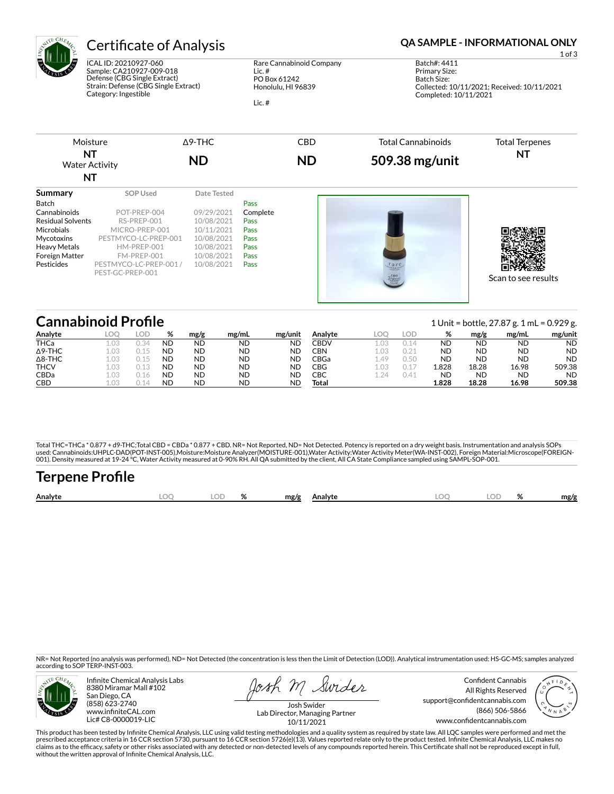

ICAL ID: 20210927-060 Sample: CA210927-009-018 Defense (CBG Single Extract) Strain: Defense (CBG Single Extract) Category: Ingestible

Rare Cannabinoid Company Lic. # PO Box 61242 Honolulu, HI 96839

Lic. #

## Certificate of Analysis **Certificate of Analysis QA SAMPLE - INFORMATIONAL ONLY**

1 of 3

Batch#: 4411 Primary Size: Batch Size: Collected: 10/11/2021; Received: 10/11/2021 Completed: 10/11/2021



| <b>Cannabinoid Profile</b> |      |      |           |           |           |           |         |      |      |           | 1 Unit = bottle, 27.87 g. 1 mL = $0.929$ g. |           |           |  |  |
|----------------------------|------|------|-----------|-----------|-----------|-----------|---------|------|------|-----------|---------------------------------------------|-----------|-----------|--|--|
| Analyte                    | loc  | LOD  | %         | mg/g      | mg/mL     | mg/unit   | Analyte |      | LOD  | %         | mg/g                                        | mg/mL     | mg/unit   |  |  |
| <b>THCa</b>                |      |      | <b>ND</b> | <b>ND</b> | <b>ND</b> | <b>ND</b> | CBDV    | 1.03 |      | <b>ND</b> | <b>ND</b>                                   | <b>ND</b> | <b>ND</b> |  |  |
| $\Delta$ 9-THC             |      | 0.15 | <b>ND</b> | <b>ND</b> | <b>ND</b> | <b>ND</b> | CBN     | 1.03 |      | <b>ND</b> | <b>ND</b>                                   | ND        | <b>ND</b> |  |  |
| $\Delta$ 8-THC             | 1.03 | 0.15 | <b>ND</b> | <b>ND</b> | <b>ND</b> | <b>ND</b> | CBGa    | 1.49 | 0.50 | <b>ND</b> | <b>ND</b>                                   | <b>ND</b> | <b>ND</b> |  |  |
| <b>THCV</b>                | 1.03 | 0.13 | <b>ND</b> | <b>ND</b> | <b>ND</b> | <b>ND</b> | CBG     | 1.03 |      | 1.828     | 18.28                                       | 16.98     | 509.38    |  |  |
| <b>CBDa</b>                | 1.03 | 0.16 | <b>ND</b> | <b>ND</b> | <b>ND</b> | ND        | СВС     | 1,24 | 0.41 | <b>ND</b> | <b>ND</b>                                   | <b>ND</b> | <b>ND</b> |  |  |
| <b>CBD</b>                 |      |      | ΝD        | <b>ND</b> | <b>ND</b> | ΝC        | Total   |      |      | 1.828     | 18.28                                       | 16.98     | 509.38    |  |  |

Total THC=THCa \* 0.877 + d9-THC;Total CBD = CBDa \* 0.877 + CBD. NR= Not Reported, ND= Not Detected. Potency is reported on a dry weight basis. Instrumentation and analysis SOPs used: Cannabinoids:UHPLC-DAD(POT-INST-005),Moisture:Moisture Analyzer(MOISTURE-001),Water Activity:Water Activity Meter(WA-INST-002), Foreign Material:Microscope(FOREIGN-<br>001). Density measured at 19-24 °C, Water Activity

| <b>Terpene Profile</b> |     |       |              |      |       |      |
|------------------------|-----|-------|--------------|------|-------|------|
| Analyte                | LOO | LOD % | mg/g Analyte | LOO. | LOD % | mg/g |

NR= Not Reported (no analysis was performed), ND= Not Detected (the concentration is less then the Limit of Detection (LOD)). Analytical instrumentation used: HS-GC-MS; samples analyzed according to SOP TERP-INST-003.



Infinite Chemical Analysis Labs 8380 Miramar Mall #102 San Diego, CA (858) 623-2740 www.infiniteCAL.com Lic# C8-0000019-LIC

osh M Swider

Confident Cannabis All Rights Reserved support@confidentcannabis.com (866) 506-5866 www.confidentcannabis.com



Josh Swider Lab Director, Managing Partner 10/11/2021

This product has been tested by Infinite Chemical Analysis, LLC using valid testing methodologies and a quality system as required by state law. All LQC samples were performed and met the prescribed acceptance criteria in 16 CCR section 5730, pursuant to 16 CCR section 5726(e)(13). Values reported relate only to the product tested. Infinite Chemical Analysis, LLC makes no<br>claims as to the efficacy, safety o without the written approval of Infinite Chemical Analysis, LLC.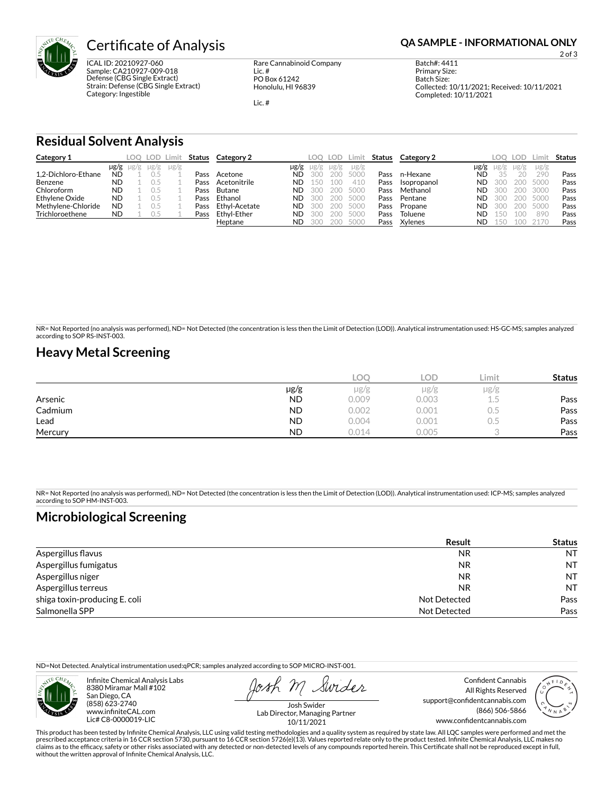

ICAL ID: 20210927-060 Sample: CA210927-009-018 Defense (CBG Single Extract) Strain: Defense (CBG Single Extract) Category: Ingestible

Rare Cannabinoid Company Lic. # PO Box 61242 Honolulu, HI 96839

Lic. #

2 of 3

Batch#: 4411 Primary Size: Batch Size: Collected: 10/11/2021; Received: 10/11/2021 Completed: 10/11/2021

## **Residual Solvent Analysis**

| Category 1          |           |      |           | LOO LOD Limit |      | <b>Status</b> Category 2 |           | LOO. | LOD. | Limit     | Status | Category 2  |           | LOO       | <b>LOD</b> | .imit     | Status |
|---------------------|-----------|------|-----------|---------------|------|--------------------------|-----------|------|------|-----------|--------|-------------|-----------|-----------|------------|-----------|--------|
|                     | µg/g      | Ug/g | $\mu$ g/g | $\mu$ g/g     |      |                          | $\mu$ g/g | ug/g | ug/g | $\mu$ g/g |        |             | µg/g      | $\mu$ g/g | $\mu$ g/g  | $\mu$ g/g |        |
| 1.2-Dichloro-Ethane | ND        |      |           |               | Pass | Acetone                  | ND.       | 300  | 200  | 5000      | Pass   | n-Hexane    | ND        |           | 20         | 290       | Pass   |
| Benzene             | <b>ND</b> |      |           |               | Pass | Acetonitrile             | ND.       | 150  | 100  | 410       | Pass   | Isopropanol | <b>ND</b> | 300       | 200        | 5000      | Pass   |
| Chloroform          | <b>ND</b> |      |           |               | Pass | Butane                   | ND        | 300  | 200  | 5000      | Pass   | Methanol    | <b>ND</b> | 300       | 200        | 3000      | Pass   |
| Ethylene Oxide      | <b>ND</b> |      |           |               | Pass | Ethanol                  | ND        | 300  | 200  | 5000      | Pass   | Pentane     | ND.       | 300       | 200        | 5000      | Pass   |
| Methylene-Chloride  | <b>ND</b> |      |           |               | Pass | Ethvl-Acetate            | ND        | 300  | 200  | 5000      | Pass   | Propane     | <b>ND</b> | 300       | 200        | 5000      | Pass   |
| Trichloroethene     | ND        |      |           |               | Pass | Ethvl-Ether              | ND        | 300  | 200  | 5000      | Pass   | Toluene     | ΝD        | 150       | 1 O C      | 890       | Pass   |
|                     |           |      |           |               |      | Heptane                  | ND        | 300  | 200  | 5000      | Pass   | Xylenes     | <b>ND</b> | 150       |            |           | Pass   |

NR= Not Reported (no analysis was performed), ND= Not Detected (the concentration is less then the Limit of Detection (LOD)). Analytical instrumentation used: HS-GC-MS; samples analyzed according to SOP RS-INST-003.

## **Heavy Metal Screening**

|         |           | LOC   | LOD.  | Limit | <b>Status</b> |
|---------|-----------|-------|-------|-------|---------------|
|         | $\mu$ g/g | µg/g  | µg/g  | µg/g  |               |
| Arsenic | <b>ND</b> | 0.009 | 0.003 | L.5   | Pass          |
| Cadmium | <b>ND</b> | 0.002 | 0.001 | U.5   | Pass          |
| Lead    | <b>ND</b> | 0.004 | 0.001 | U.5   | Pass          |
| Mercury | <b>ND</b> | 0.014 | 0.005 |       | Pass          |

NR= Not Reported (no analysis was performed), ND= Not Detected (the concentration is less then the Limit of Detection (LOD)). Analytical instrumentation used: ICP-MS; samples analyzed according to SOP HM-INST-003.

## **Microbiological Screening**

|                               | Result       | <b>Status</b> |
|-------------------------------|--------------|---------------|
| Aspergillus flavus            | <b>NR</b>    | <b>NT</b>     |
| Aspergillus fumigatus         | <b>NR</b>    | <b>NT</b>     |
| Aspergillus niger             | <b>NR</b>    | <b>NT</b>     |
| Aspergillus terreus           | <b>NR</b>    | <b>NT</b>     |
| shiga toxin-producing E. coli | Not Detected | Pass          |
| Salmonella SPP                | Not Detected | Pass          |

ND=Not Detected. Analytical instrumentation used:qPCR; samples analyzed according to SOP MICRO-INST-001.



Infinite Chemical Analysis Labs 8380 Miramar Mall #102 San Diego, CA (858) 623-2740 www.infiniteCAL.com Lic# C8-0000019-LIC

Swider

Confident Cannabis All Rights Reserved support@confidentcannabis.com (866) 506-5866 www.confidentcannabis.com



Josh Swider Lab Director, Managing Partner 10/11/2021

This product has been tested by Infinite Chemical Analysis, LLC using valid testing methodologies and a quality system as required by state law. All LQC samples were performed and met the prescribed acceptance criteria in 16 CCR section 5730, pursuant to 16 CCR section 5726(e)(13). Values reported relate only to the product tested. Infinite Chemical Analysis, LLC makes no<br>claims as to the efficacy, safety o without the written approval of Infinite Chemical Analysis, LLC.